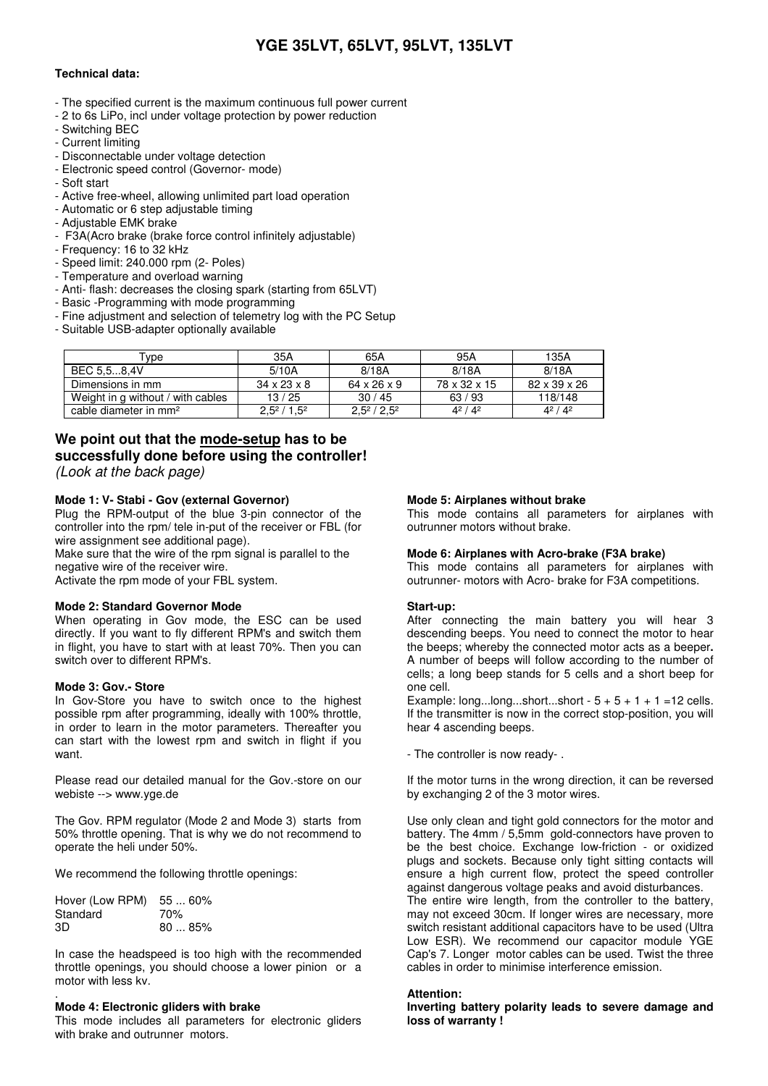# **YGE 35LVT, 65LVT, 95LVT, 135LVT**

# **Technical data:**

- The specified current is the maximum continuous full power current
- 2 to 6s LiPo, incl under voltage protection by power reduction
- Switching BEC
- Current limiting
- Disconnectable under voltage detection
- Electronic speed control (Governor- mode)
- Soft start
- Active free-wheel, allowing unlimited part load operation
- Automatic or 6 step adjustable timing
- Adjustable EMK brake
- F3A(Acro brake (brake force control infinitely adjustable)
- Frequency: 16 to 32 kHz
- Speed limit: 240.000 rpm (2- Poles)
- Temperature and overload warning
- Anti- flash: decreases the closing spark (starting from 65LVT)
- Basic -Programming with mode programming
- Fine adjustment and selection of telemetry log with the PC Setup
- Suitable USB-adapter optionally available

| Type                              | 35A                     | 65A           | 95A           | 135A         |
|-----------------------------------|-------------------------|---------------|---------------|--------------|
| BEC 5.58.4V                       | 5/10A                   | 8/18A         | 8/18A         | 8/18A        |
| Dimensions in mm                  | $34 \times 23 \times 8$ | 64 x 26 x 9   | 78 x 32 x 15  | 82 x 39 x 26 |
| Weight in g without / with cables | 13/25                   | 30/45         | 63/93         | 118/148      |
| cable diameter in mm <sup>2</sup> | $2.5^2/1.5^2$           | $2.5^2/2.5^2$ | $4^{2}/4^{2}$ | $4^2/4^2$    |

# **We point out that the mode-setup has to be successfully done before using the controller!**

(Look at the back page)

# **Mode 1: V- Stabi - Gov (external Governor)**

Plug the RPM-output of the blue 3-pin connector of the controller into the rpm/ tele in-put of the receiver or FBL (for wire assignment see additional page).

Make sure that the wire of the rpm signal is parallel to the negative wire of the receiver wire.

Activate the rpm mode of your FBL system.

# **Mode 2: Standard Governor Mode**

When operating in Gov mode, the ESC can be used directly. If you want to fly different RPM's and switch them in flight, you have to start with at least 70%. Then you can switch over to different RPM's.

# **Mode 3: Gov.- Store**

In Gov-Store you have to switch once to the highest possible rpm after programming, ideally with 100% throttle, in order to learn in the motor parameters. Thereafter you can start with the lowest rpm and switch in flight if you want.

Please read our detailed manual for the Gov.-store on our webiste --> www.yge.de

The Gov. RPM regulator (Mode 2 and Mode 3) starts from 50% throttle opening. That is why we do not recommend to operate the heli under 50%.

We recommend the following throttle openings:

| Hover (Low RPM) 55  60% |       |
|-------------------------|-------|
| Standard                | 70%   |
| 3D                      | 8085% |

In case the headspeed is too high with the recommended throttle openings, you should choose a lower pinion or a motor with less kv.

#### . **Mode 4: Electronic gliders with brake**

This mode includes all parameters for electronic gliders with brake and outrunner motors.

# **Mode 5: Airplanes without brake**

This mode contains all parameters for airplanes with outrunner motors without brake.

### **Mode 6: Airplanes with Acro-brake (F3A brake)**

This mode contains all parameters for airplanes with outrunner- motors with Acro- brake for F3A competitions.

### **Start-up:**

After connecting the main battery you will hear 3 descending beeps. You need to connect the motor to hear the beeps; whereby the connected motor acts as a beeper**.** A number of beeps will follow according to the number of cells; a long beep stands for 5 cells and a short beep for one cell.

Example: long...long...short...short  $-5 + 5 + 1 + 1 = 12$  cells. If the transmitter is now in the correct stop-position, you will hear 4 ascending beeps.

- The controller is now ready- .

If the motor turns in the wrong direction, it can be reversed by exchanging 2 of the 3 motor wires.

Use only clean and tight gold connectors for the motor and battery. The 4mm / 5,5mm gold-connectors have proven to be the best choice. Exchange low-friction - or oxidized plugs and sockets. Because only tight sitting contacts will ensure a high current flow, protect the speed controller against dangerous voltage peaks and avoid disturbances.

The entire wire length, from the controller to the battery, may not exceed 30cm. If longer wires are necessary, more switch resistant additional capacitors have to be used (Ultra Low ESR). We recommend our capacitor module YGE Cap's 7. Longer motor cables can be used. Twist the three cables in order to minimise interference emission.

### **Attention:**

**Inverting battery polarity leads to severe damage and loss of warranty !**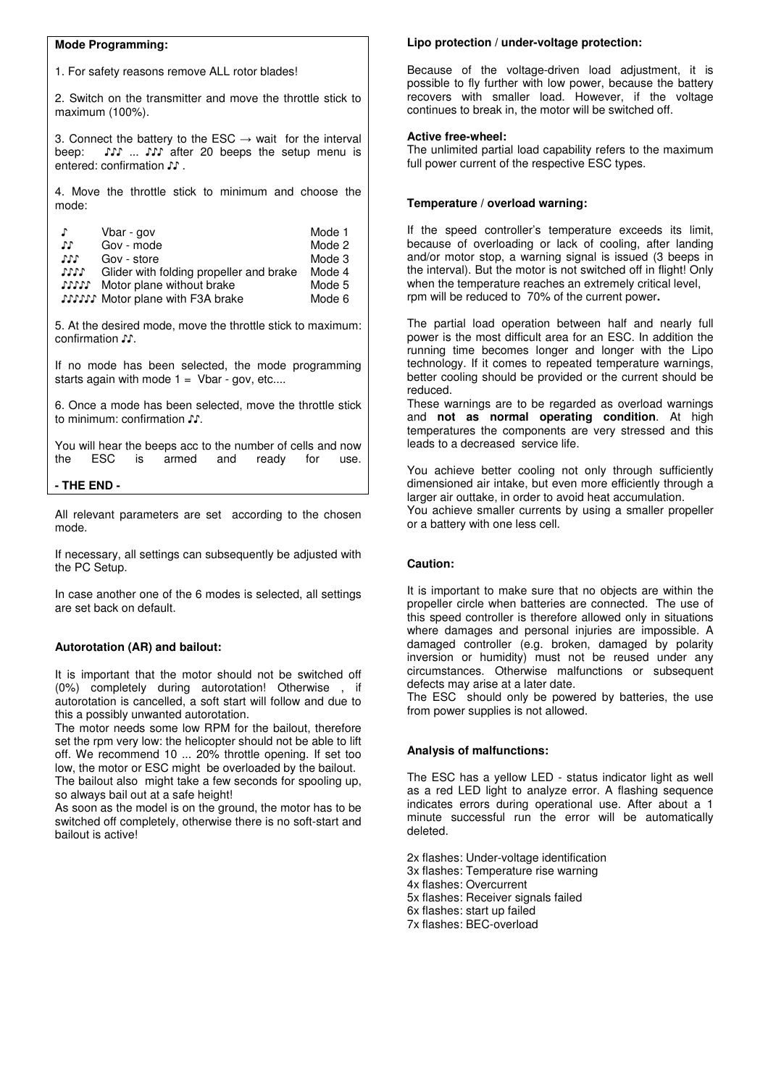#### **Mode Programming:**

1. For safety reasons remove ALL rotor blades!

2. Switch on the transmitter and move the throttle stick to maximum (100%).

3. Connect the battery to the ESC  $\rightarrow$  wait for the interval beep:  $\mathcal{N}$  ...  $\mathcal{N}$  after 20 beeps the setup menu is entered: confirmation ♪♪ .

4. Move the throttle stick to minimum and choose the mode:

| J.   | Vbar - gov                              | Mode 1 |
|------|-----------------------------------------|--------|
| ЛT   | Gov - mode                              | Mode 2 |
| JJJ  | Gov - store                             | Mode 3 |
| 1111 | Glider with folding propeller and brake | Mode 4 |
|      | <b>SIST</b> Motor plane without brake   | Mode 5 |
|      | <b>SSSSS</b> Motor plane with F3A brake | Mode 6 |

5. At the desired mode, move the throttle stick to maximum: confirmation ♪♪.

If no mode has been selected, the mode programming starts again with mode  $1 =$  Vbar - gov, etc....

6. Once a mode has been selected, move the throttle stick to minimum: confirmation ♪♪.

You will hear the beeps acc to the number of cells and now the ESC is armed and ready for use.

#### **- THE END -**

All relevant parameters are set according to the chosen mode.

If necessary, all settings can subsequently be adjusted with the PC Setup.

In case another one of the 6 modes is selected, all settings are set back on default.

### **Autorotation (AR) and bailout:**

It is important that the motor should not be switched off (0%) completely during autorotation! Otherwise , if autorotation is cancelled, a soft start will follow and due to this a possibly unwanted autorotation.

The motor needs some low RPM for the bailout, therefore set the rpm very low: the helicopter should not be able to lift off. We recommend 10 ... 20% throttle opening. If set too low, the motor or ESC might be overloaded by the bailout. The bailout also might take a few seconds for spooling up, so always bail out at a safe height!

As soon as the model is on the ground, the motor has to be switched off completely, otherwise there is no soft-start and bailout is active!

#### **Lipo protection / under-voltage protection:**

Because of the voltage-driven load adjustment, it is possible to fly further with low power, because the battery recovers with smaller load. However, if the voltage continues to break in, the motor will be switched off.

#### **Active free-wheel:**

The unlimited partial load capability refers to the maximum full power current of the respective ESC types.

#### **Temperature / overload warning:**

If the speed controller's temperature exceeds its limit, because of overloading or lack of cooling, after landing and/or motor stop, a warning signal is issued (3 beeps in the interval). But the motor is not switched off in flight! Only when the temperature reaches an extremely critical level, rpm will be reduced to 70% of the current power**.** 

The partial load operation between half and nearly full power is the most difficult area for an ESC. In addition the running time becomes longer and longer with the Lipo technology. If it comes to repeated temperature warnings, better cooling should be provided or the current should be reduced.

These warnings are to be regarded as overload warnings and **not as normal operating condition**. At high temperatures the components are very stressed and this leads to a decreased service life.

You achieve better cooling not only through sufficiently dimensioned air intake, but even more efficiently through a larger air outtake, in order to avoid heat accumulation. You achieve smaller currents by using a smaller propeller or a battery with one less cell.

### **Caution:**

It is important to make sure that no objects are within the propeller circle when batteries are connected. The use of this speed controller is therefore allowed only in situations where damages and personal injuries are impossible. A damaged controller (e.g. broken, damaged by polarity inversion or humidity) must not be reused under any circumstances. Otherwise malfunctions or subsequent defects may arise at a later date.

The ESC should only be powered by batteries, the use from power supplies is not allowed.

### **Analysis of malfunctions:**

The ESC has a yellow LED - status indicator light as well as a red LED light to analyze error. A flashing sequence indicates errors during operational use. After about a 1 minute successful run the error will be automatically deleted.

2x flashes: Under-voltage identification

3x flashes: Temperature rise warning

4x flashes: Overcurrent

5x flashes: Receiver signals failed

6x flashes: start up failed

7x flashes: BEC-overload